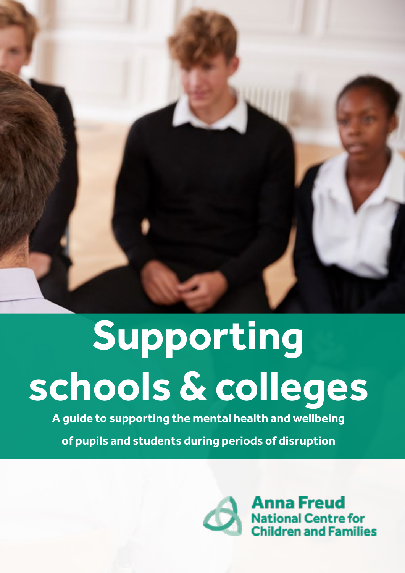

# **Supporting schools & colleges**

**A guide to supporting the mental health and wellbeing** 

**of pupils and students during periods of disruption**

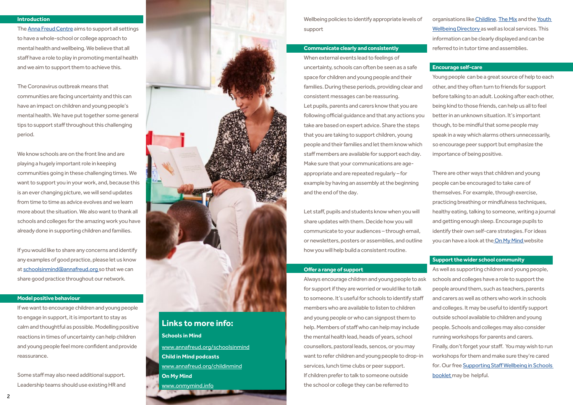# **Introduction**

The [Anna Freud Centre](http://www.annafreud.org) aims to support all settings to have a whole-school or college approach to mental health and wellbeing. We believe that all staff have a role to play in promoting mental health and we aim to support them to achieve this.

The Coronavirus outbreak means that communities are facing uncertainty and this can have an impact on children and young people's mental health. We have put together some general tips to support staff throughout this challenging period.

We know schools are on the front line and are playing a hugely important role in keeping communities going in these challenging times. We want to support you in your work, and, because this is an ever changing picture, we will send updates from time to time as advice evolves and we learn more about the situation. We also want to thank all schools and colleges for the amazing work you have already done in supporting children and families.

If you would like to share any concerns and identify any examples of good practice, please let us know at [schoolsinmind@annafreud.org](mailto:schoolsinmind%40annafreud.org%20?subject=) so that we can share good practice throughout our network.

#### **Model positive behaviour**

If we want to encourage children and young people to engage in support, it is important to stay as calm and thoughtful as possible. Modelling positive reactions in times of uncertainty can help children and young people feel more confident and provide reassurance.

Some staff may also need additional support. Leadership teams should use existing HR and



Wellbeing policies to identify appropriate levels of support

# **Communicate clearly and consistently**

organisations like [Childline](https://www.childline.org.uk/), [The Mix](https://www.themix.org.uk/) and the Youth [Wellbeing Directory](https://www.annafreud.org/on-my-mind/youth-wellbeing/) as well as local services. This information can be clearly displayed and can be referred to in tutor time and assemblies.

There are other ways that children and young people can be encouraged to take care of themselves. For example, through exercise, practicing breathing or mindfulness techniques, healthy eating, talking to someone, writing a journal and getting enough sleep. Encourage pupils to identify their own self-care strategies. For ideas you can have a look at the [On My Mind](http://www.onmymind.info) website

When external events lead to feelings of uncertainty, schools can often be seen as a safe space for children and young people and their families. During these periods, providing clear and consistent messages can be reassuring. Let pupils, parents and carers know that you are following official guidance and that any actions you take are based on expert advice. Share the steps that you are taking to support children, young people and their families and let them know which staff members are available for support each day. Make sure that your communications are ageappropriate and are repeated regularly – for example by having an assembly at the beginning and the end of the day.

Let staff, pupils and students know when you will share updates with them. Decide how you will communicate to your audiences – through email, or newsletters, posters or assemblies, and outline how you will help build a consistent routine.

# **Offer a range of support**

Always encourage children and young people to ask for support if they are worried or would like to talk to someone. It's useful for schools to identify staff members who are available to listen to children and young people or who can signpost them to help. Members of staff who can help may include the mental health lead, heads of years, school counsellors, pastoral leads, sencos, or you may want to refer children and young people to drop-in services, lunch time clubs or peer support. If children prefer to talk to someone outside the school or college they can be referred to

# **Encourage self-care**

Young people can be a great source of help to each other, and they often turn to friends for support before talking to an adult. Looking after each other, being kind to those friends, can help us all to feel better in an unknown situation. It's important though, to be mindful that some people may speak in a way which alarms others unnecessarily, so encourage peer support but emphasize the importance of being positive.

# **Support the wider school community**

As well as supporting children and young people, schools and colleges have a role to support the people around them, such as teachers, parents and carers as well as others who work in schools and colleges. It may be useful to identify support outside school available to children and young people. Schools and colleges may also consider running workshops for parents and carers. Finally, don't forget your staff. You may wish to run workshops for them and make sure they're cared for. Our free [Supporting Staff Wellbeing in Schools](https://www.annafreud.org/what-we-do/schools-in-mind/resources-for-schools/supporting-staff-wellbeing-in-schools/)  [booklet](https://www.annafreud.org/what-we-do/schools-in-mind/resources-for-schools/supporting-staff-wellbeing-in-schools/) may be helpful.

# **Links to more info:**

# **Schools in Mind**

[www.annafreud.org/schoolsinmind](http://www.annafreud.org/schoolsinmind) **Child in Mind podcasts** [www.annafreud.org/childinmind](http://www.annafreud.org/childinmind) **On My Mind** [www.onmymind.info](http://www.onmymind.info)